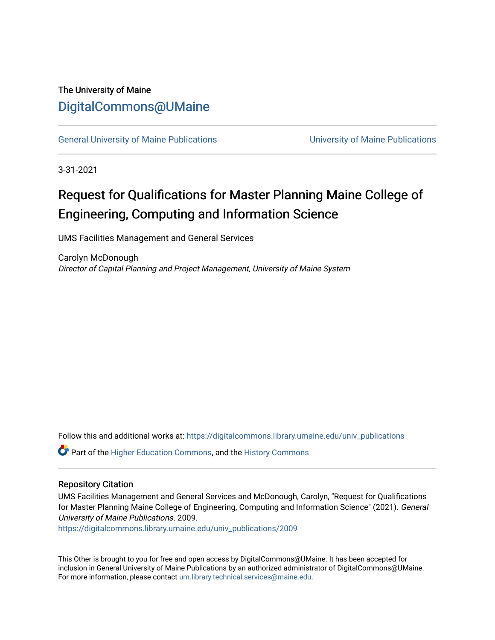# The University of Maine [DigitalCommons@UMaine](https://digitalcommons.library.umaine.edu/)

[General University of Maine Publications](https://digitalcommons.library.umaine.edu/univ_publications) [University of Maine Publications](https://digitalcommons.library.umaine.edu/umaine_publications) 

3-31-2021

# Request for Qualifications for Master Planning Maine College of Engineering, Computing and Information Science

UMS Facilities Management and General Services

Carolyn McDonough Director of Capital Planning and Project Management, University of Maine System

Follow this and additional works at: [https://digitalcommons.library.umaine.edu/univ\\_publications](https://digitalcommons.library.umaine.edu/univ_publications?utm_source=digitalcommons.library.umaine.edu%2Funiv_publications%2F2009&utm_medium=PDF&utm_campaign=PDFCoverPages) 

Part of the [Higher Education Commons,](http://network.bepress.com/hgg/discipline/1245?utm_source=digitalcommons.library.umaine.edu%2Funiv_publications%2F2009&utm_medium=PDF&utm_campaign=PDFCoverPages) and the [History Commons](http://network.bepress.com/hgg/discipline/489?utm_source=digitalcommons.library.umaine.edu%2Funiv_publications%2F2009&utm_medium=PDF&utm_campaign=PDFCoverPages)

# Repository Citation

UMS Facilities Management and General Services and McDonough, Carolyn, "Request for Qualifications for Master Planning Maine College of Engineering, Computing and Information Science" (2021). General University of Maine Publications. 2009.

[https://digitalcommons.library.umaine.edu/univ\\_publications/2009](https://digitalcommons.library.umaine.edu/univ_publications/2009?utm_source=digitalcommons.library.umaine.edu%2Funiv_publications%2F2009&utm_medium=PDF&utm_campaign=PDFCoverPages)

This Other is brought to you for free and open access by DigitalCommons@UMaine. It has been accepted for inclusion in General University of Maine Publications by an authorized administrator of DigitalCommons@UMaine. For more information, please contact [um.library.technical.services@maine.edu](mailto:um.library.technical.services@maine.edu).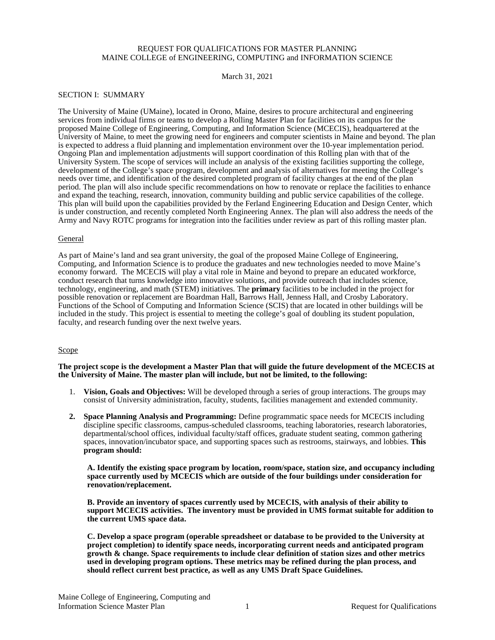## REQUEST FOR QUALIFICATIONS FOR MASTER PLANNING MAINE COLLEGE of ENGINEERING, COMPUTING and INFORMATION SCIENCE

March 31, 2021

#### SECTION I: SUMMARY

The University of Maine (UMaine), located in Orono, Maine, desires to procure architectural and engineering services from individual firms or teams to develop a Rolling Master Plan for facilities on its campus for the proposed Maine College of Engineering, Computing, and Information Science (MCECIS), headquartered at the University of Maine, to meet the growing need for engineers and computer scientists in Maine and beyond. The plan is expected to address a fluid planning and implementation environment over the 10-year implementation period. Ongoing Plan and implementation adjustments will support coordination of this Rolling plan with that of the University System. The scope of services will include an analysis of the existing facilities supporting the college, development of the College's space program, development and analysis of alternatives for meeting the College's needs over time, and identification of the desired completed program of facility changes at the end of the plan period. The plan will also include specific recommendations on how to renovate or replace the facilities to enhance and expand the teaching, research, innovation, community building and public service capabilities of the college. This plan will build upon the capabilities provided by the Ferland Engineering Education and Design Center, which is under construction, and recently completed North Engineering Annex. The plan will also address the needs of the Army and Navy ROTC programs for integration into the facilities under review as part of this rolling master plan.

#### General

As part of Maine's land and sea grant university, the goal of the proposed Maine College of Engineering, Computing, and Information Science is to produce the graduates and new technologies needed to move Maine's economy forward. The MCECIS will play a vital role in Maine and beyond to prepare an educated workforce, conduct research that turns knowledge into innovative solutions, and provide outreach that includes science, technology, engineering, and math (STEM) initiatives. The **primary** facilities to be included in the project for possible renovation or replacement are Boardman Hall, Barrows Hall, Jenness Hall, and Crosby Laboratory. Functions of the School of Computing and Information Science (SCIS) that are located in other buildings will be included in the study. This project is essential to meeting the college's goal of doubling its student population, faculty, and research funding over the next twelve years.

#### Scope

**The project scope is the development a Master Plan that will guide the future development of the MCECIS at the University of Maine. The master plan will include, but not be limited, to the following:**

- 1. **Vision, Goals and Objectives:** Will be developed through a series of group interactions. The groups may consist of University administration, faculty, students, facilities management and extended community.
- **2. Space Planning Analysis and Programming:** Define programmatic space needs for MCECIS including discipline specific classrooms, campus-scheduled classrooms, teaching laboratories, research laboratories, departmental/school offices, individual faculty/staff offices, graduate student seating, common gathering spaces, innovation/incubator space, and supporting spaces such as restrooms, stairways, and lobbies. **This program should:**

**A. Identify the existing space program by location, room/space, station size, and occupancy including space currently used by MCECIS which are outside of the four buildings under consideration for renovation/replacement.**

**B. Provide an inventory of spaces currently used by MCECIS, with analysis of their ability to support MCECIS activities. The inventory must be provided in UMS format suitable for addition to the current UMS space data.**

**C. Develop a space program (operable spreadsheet or database to be provided to the University at project completion) to identify space needs, incorporating current needs and anticipated program growth & change. Space requirements to include clear definition of station sizes and other metrics used in developing program options. These metrics may be refined during the plan process, and should reflect current best practice, as well as any UMS Draft Space Guidelines.**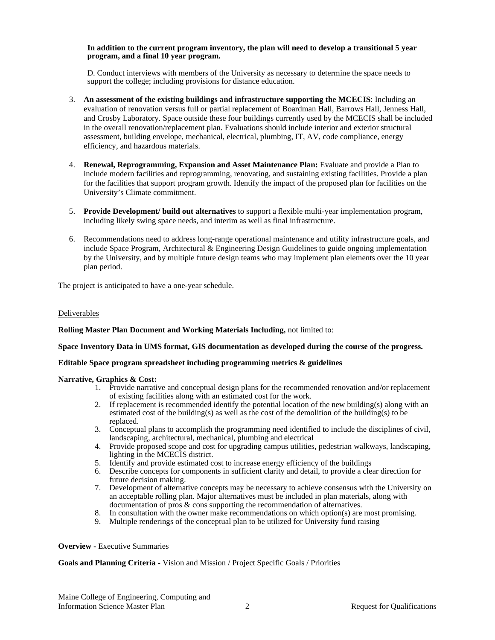#### **In addition to the current program inventory, the plan will need to develop a transitional 5 year program, and a final 10 year program.**

D. Conduct interviews with members of the University as necessary to determine the space needs to support the college; including provisions for distance education.

- 3. **An assessment of the existing buildings and infrastructure supporting the MCECIS**: Including an evaluation of renovation versus full or partial replacement of Boardman Hall, Barrows Hall, Jenness Hall, and Crosby Laboratory. Space outside these four buildings currently used by the MCECIS shall be included in the overall renovation/replacement plan. Evaluations should include interior and exterior structural assessment, building envelope, mechanical, electrical, plumbing, IT, AV, code compliance, energy efficiency, and hazardous materials.
- 4. **Renewal, Reprogramming, Expansion and Asset Maintenance Plan:** Evaluate and provide a Plan to include modern facilities and reprogramming, renovating, and sustaining existing facilities. Provide a plan for the facilities that support program growth. Identify the impact of the proposed plan for facilities on the University's Climate commitment.
- 5. **Provide Development/ build out alternatives** to support a flexible multi-year implementation program, including likely swing space needs, and interim as well as final infrastructure.
- 6. Recommendations need to address long-range operational maintenance and utility infrastructure goals, and include Space Program, Architectural & Engineering Design Guidelines to guide ongoing implementation by the University, and by multiple future design teams who may implement plan elements over the 10 year plan period.

The project is anticipated to have a one-year schedule.

#### Deliverables

#### **Rolling Master Plan Document and Working Materials Including,** not limited to:

#### **Space Inventory Data in UMS format, GIS documentation as developed during the course of the progress.**

#### **Editable Space program spreadsheet including programming metrics & guidelines**

#### **Narrative, Graphics & Cost:**

- 1. Provide narrative and conceptual design plans for the recommended renovation and/or replacement of existing facilities along with an estimated cost for the work.
- 2. If replacement is recommended identify the potential location of the new building(s) along with an estimated cost of the building(s) as well as the cost of the demolition of the building(s) to be replaced.
- 3. Conceptual plans to accomplish the programming need identified to include the disciplines of civil, landscaping, architectural, mechanical, plumbing and electrical
- 4. Provide proposed scope and cost for upgrading campus utilities, pedestrian walkways, landscaping, lighting in the MCECIS district.
- 5. Identify and provide estimated cost to increase energy efficiency of the buildings
- 6. Describe concepts for components in sufficient clarity and detail, to provide a clear direction for future decision making.
- 7. Development of alternative concepts may be necessary to achieve consensus with the University on an acceptable rolling plan. Major alternatives must be included in plan materials, along with documentation of pros & cons supporting the recommendation of alternatives.
- 8. In consultation with the owner make recommendations on which option(s) are most promising.
- 9. Multiple renderings of the conceptual plan to be utilized for University fund raising

#### **Overview -** Executive Summaries

#### **Goals and Planning Criteria** - Vision and Mission / Project Specific Goals / Priorities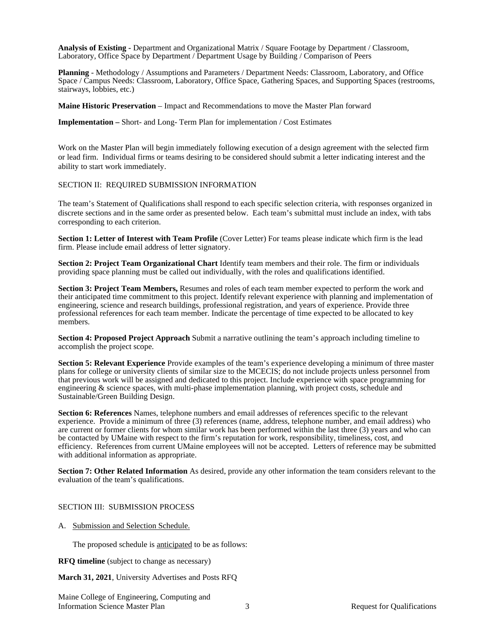**Analysis of Existing -** Department and Organizational Matrix / Square Footage by Department / Classroom, Laboratory, Office Space by Department / Department Usage by Building / Comparison of Peers

**Planning** - Methodology / Assumptions and Parameters / Department Needs: Classroom, Laboratory, and Office Space / Campus Needs: Classroom, Laboratory, Office Space, Gathering Spaces, and Supporting Spaces (restrooms, stairways, lobbies, etc.)

**Maine Historic Preservation** – Impact and Recommendations to move the Master Plan forward

**Implementation –** Short- and Long- Term Plan for implementation / Cost Estimates

Work on the Master Plan will begin immediately following execution of a design agreement with the selected firm or lead firm. Individual firms or teams desiring to be considered should submit a letter indicating interest and the ability to start work immediately.

#### SECTION II: REQUIRED SUBMISSION INFORMATION

The team's Statement of Qualifications shall respond to each specific selection criteria, with responses organized in discrete sections and in the same order as presented below. Each team's submittal must include an index, with tabs corresponding to each criterion.

**Section 1: Letter of Interest with Team Profile** (Cover Letter) For teams please indicate which firm is the lead firm. Please include email address of letter signatory.

**Section 2: Project Team Organizational Chart** Identify team members and their role. The firm or individuals providing space planning must be called out individually, with the roles and qualifications identified.

**Section 3: Project Team Members,** Resumes and roles of each team member expected to perform the work and their anticipated time commitment to this project. Identify relevant experience with planning and implementation of engineering, science and research buildings, professional registration, and years of experience. Provide three professional references for each team member. Indicate the percentage of time expected to be allocated to key members.

**Section 4: Proposed Project Approach** Submit a narrative outlining the team's approach including timeline to accomplish the project scope.

**Section 5: Relevant Experience** Provide examples of the team's experience developing a minimum of three master plans for college or university clients of similar size to the MCECIS; do not include projects unless personnel from that previous work will be assigned and dedicated to this project. Include experience with space programming for engineering & science spaces, with multi-phase implementation planning, with project costs, schedule and Sustainable/Green Building Design.

**Section 6: References** Names, telephone numbers and email addresses of references specific to the relevant experience. Provide a minimum of three (3) references (name, address, telephone number, and email address) who are current or former clients for whom similar work has been performed within the last three (3) years and who can be contacted by UMaine with respect to the firm's reputation for work, responsibility, timeliness, cost, and efficiency. References from current UMaine employees will not be accepted. Letters of reference may be submitted with additional information as appropriate.

**Section 7: Other Related Information** As desired, provide any other information the team considers relevant to the evaluation of the team's qualifications.

#### SECTION III: SUBMISSION PROCESS

A. Submission and Selection Schedule.

The proposed schedule is anticipated to be as follows:

**RFQ timeline** (subject to change as necessary)

**March 31, 2021**, University Advertises and Posts RFQ

Maine College of Engineering, Computing and Information Science Master Plan 3 3 Request for Qualifications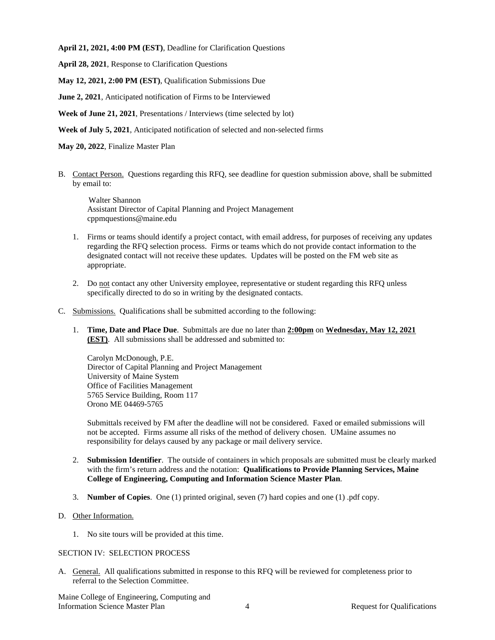**April 21, 2021, 4:00 PM (EST)**, Deadline for Clarification Questions

**April 28, 2021**, Response to Clarification Questions

**May 12, 2021, 2:00 PM (EST)**, Qualification Submissions Due

**June 2, 2021**, Anticipated notification of Firms to be Interviewed

**Week of June 21, 2021**, Presentations / Interviews (time selected by lot)

**Week of July 5, 2021**, Anticipated notification of selected and non-selected firms

**May 20, 2022**, Finalize Master Plan

B. Contact Person. Questions regarding this RFQ, see deadline for question submission above, shall be submitted by email to:

 Walter Shannon Assistant Director of Capital Planning and Project Management cppmquestions@maine.edu

- 1. Firms or teams should identify a project contact, with email address, for purposes of receiving any updates regarding the RFQ selection process. Firms or teams which do not provide contact information to the designated contact will not receive these updates. Updates will be posted on the FM web site as appropriate.
- 2. Do not contact any other University employee, representative or student regarding this RFQ unless specifically directed to do so in writing by the designated contacts.
- C. Submissions. Qualifications shall be submitted according to the following:
	- 1. **Time, Date and Place Due**. Submittals are due no later than **2:00pm** on **Wednesday, May 12, 2021 (EST)**. All submissions shall be addressed and submitted to:

Carolyn McDonough, P.E. Director of Capital Planning and Project Management University of Maine System Office of Facilities Management 5765 Service Building, Room 117 Orono ME 04469-5765

Submittals received by FM after the deadline will not be considered. Faxed or emailed submissions will not be accepted. Firms assume all risks of the method of delivery chosen. UMaine assumes no responsibility for delays caused by any package or mail delivery service.

- 2. **Submission Identifier**. The outside of containers in which proposals are submitted must be clearly marked with the firm's return address and the notation: **Qualifications to Provide Planning Services, Maine College of Engineering, Computing and Information Science Master Plan**.
- 3. **Number of Copies**. One (1) printed original, seven (7) hard copies and one (1) .pdf copy.
- D. Other Information.
	- 1. No site tours will be provided at this time.

# SECTION IV: SELECTION PROCESS

A. General. All qualifications submitted in response to this RFQ will be reviewed for completeness prior to referral to the Selection Committee.

Maine College of Engineering, Computing and Information Science Master Plan 4 2 Request for Qualifications